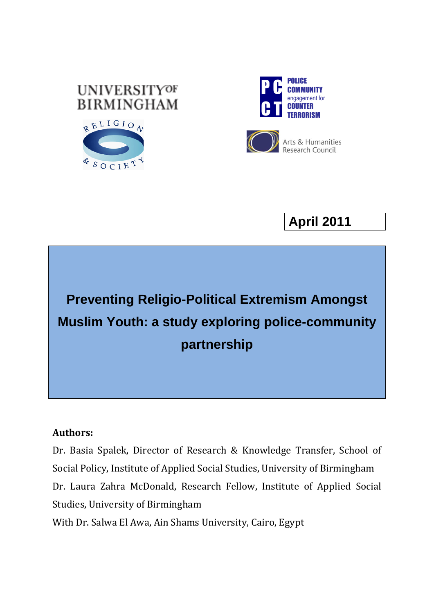



## **April 2011**

# **Preventing Religio-Political Extremism Amongst Muslim Youth: a study exploring police-community partnership**

## **Authors:**

Dr. Basia Spalek, Director of Research & Knowledge Transfer, School of Social Policy, Institute of Applied Social Studies, University of Birmingham Dr. Laura Zahra McDonald, Research Fellow, Institute of Applied Social Studies, University of Birmingham With Dr. Salwa El Awa, Ain Shams University, Cairo, Egypt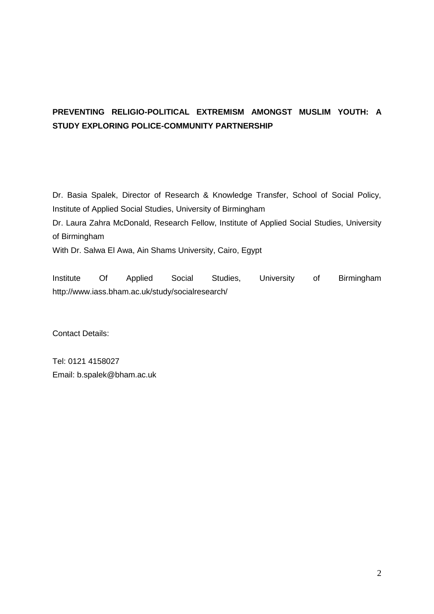## **PREVENTING RELIGIO-POLITICAL EXTREMISM AMONGST MUSLIM YOUTH: A STUDY EXPLORING POLICE-COMMUNITY PARTNERSHIP**

Dr. Basia Spalek, Director of Research & Knowledge Transfer, School of Social Policy, Institute of Applied Social Studies, University of Birmingham

Dr. Laura Zahra McDonald, Research Fellow, Institute of Applied Social Studies, University of Birmingham

With Dr. Salwa El Awa, Ain Shams University, Cairo, Egypt

Institute Of Applied Social Studies, University of Birmingham http://www.iass.bham.ac.uk/study/socialresearch/

Contact Details:

Tel: 0121 4158027 Email: b.spalek@bham.ac.uk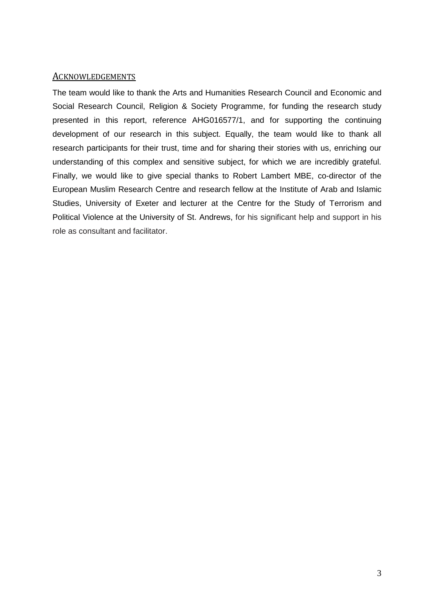#### ACKNOWLEDGEMENTS

The team would like to thank the Arts and Humanities Research Council and Economic and Social Research Council, Religion & Society Programme, for funding the research study presented in this report, reference AHG016577/1, and for supporting the continuing development of our research in this subject. Equally, the team would like to thank all research participants for their trust, time and for sharing their stories with us, enriching our understanding of this complex and sensitive subject, for which we are incredibly grateful. Finally, we would like to give special thanks to Robert Lambert MBE, co-director of the European Muslim Research Centre and research fellow at the Institute of Arab and Islamic Studies, University of Exeter and lecturer at the Centre for the Study of Terrorism and Political Violence at the University of St. Andrews, for his significant help and support in his role as consultant and facilitator.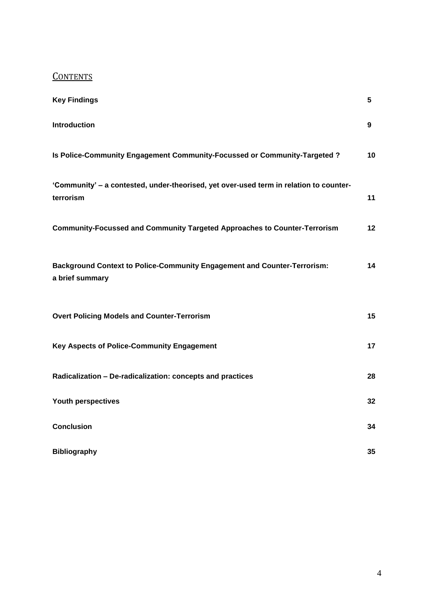## **CONTENTS**

| <b>Key Findings</b>                                                                                 | 5  |
|-----------------------------------------------------------------------------------------------------|----|
| Introduction                                                                                        | 9  |
| Is Police-Community Engagement Community-Focussed or Community-Targeted?                            | 10 |
| 'Community' - a contested, under-theorised, yet over-used term in relation to counter-<br>terrorism | 11 |
| Community-Focussed and Community Targeted Approaches to Counter-Terrorism                           | 12 |
| <b>Background Context to Police-Community Engagement and Counter-Terrorism:</b><br>a brief summary  | 14 |
| <b>Overt Policing Models and Counter-Terrorism</b>                                                  | 15 |
| Key Aspects of Police-Community Engagement                                                          | 17 |
| Radicalization - De-radicalization: concepts and practices                                          | 28 |
| Youth perspectives                                                                                  | 32 |
| <b>Conclusion</b>                                                                                   | 34 |
| <b>Bibliography</b>                                                                                 | 35 |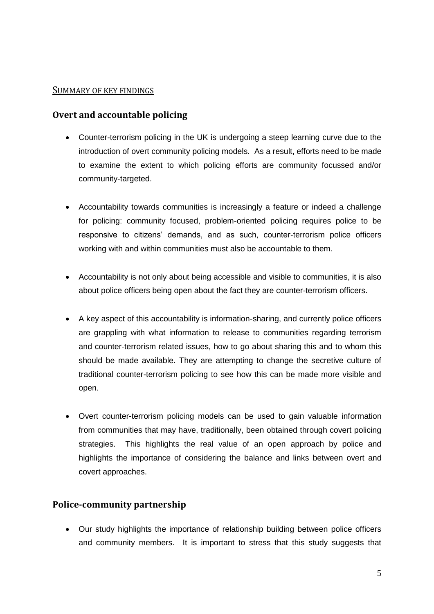### SUMMARY OF KEY FINDINGS

## **Overt and accountable policing**

- Counter-terrorism policing in the UK is undergoing a steep learning curve due to the introduction of overt community policing models. As a result, efforts need to be made to examine the extent to which policing efforts are community focussed and/or community-targeted.
- Accountability towards communities is increasingly a feature or indeed a challenge for policing: community focused, problem-oriented policing requires police to be responsive to citizens" demands, and as such, counter-terrorism police officers working with and within communities must also be accountable to them.
- Accountability is not only about being accessible and visible to communities, it is also about police officers being open about the fact they are counter-terrorism officers.
- A key aspect of this accountability is information-sharing, and currently police officers are grappling with what information to release to communities regarding terrorism and counter-terrorism related issues, how to go about sharing this and to whom this should be made available. They are attempting to change the secretive culture of traditional counter-terrorism policing to see how this can be made more visible and open.
- Overt counter-terrorism policing models can be used to gain valuable information from communities that may have, traditionally, been obtained through covert policing strategies. This highlights the real value of an open approach by police and highlights the importance of considering the balance and links between overt and covert approaches.

## **Police-community partnership**

 Our study highlights the importance of relationship building between police officers and community members. It is important to stress that this study suggests that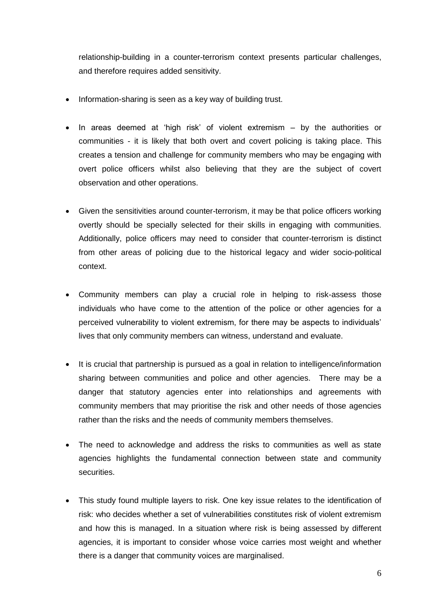relationship-building in a counter-terrorism context presents particular challenges, and therefore requires added sensitivity.

- Information-sharing is seen as a key way of building trust.
- In areas deemed at 'high risk' of violent extremism by the authorities or communities - it is likely that both overt and covert policing is taking place. This creates a tension and challenge for community members who may be engaging with overt police officers whilst also believing that they are the subject of covert observation and other operations.
- Given the sensitivities around counter-terrorism, it may be that police officers working overtly should be specially selected for their skills in engaging with communities. Additionally, police officers may need to consider that counter-terrorism is distinct from other areas of policing due to the historical legacy and wider socio-political context.
- Community members can play a crucial role in helping to risk-assess those individuals who have come to the attention of the police or other agencies for a perceived vulnerability to violent extremism, for there may be aspects to individuals" lives that only community members can witness, understand and evaluate.
- It is crucial that partnership is pursued as a goal in relation to intelligence/information sharing between communities and police and other agencies. There may be a danger that statutory agencies enter into relationships and agreements with community members that may prioritise the risk and other needs of those agencies rather than the risks and the needs of community members themselves.
- The need to acknowledge and address the risks to communities as well as state agencies highlights the fundamental connection between state and community securities.
- This study found multiple layers to risk. One key issue relates to the identification of risk: who decides whether a set of vulnerabilities constitutes risk of violent extremism and how this is managed. In a situation where risk is being assessed by different agencies, it is important to consider whose voice carries most weight and whether there is a danger that community voices are marginalised.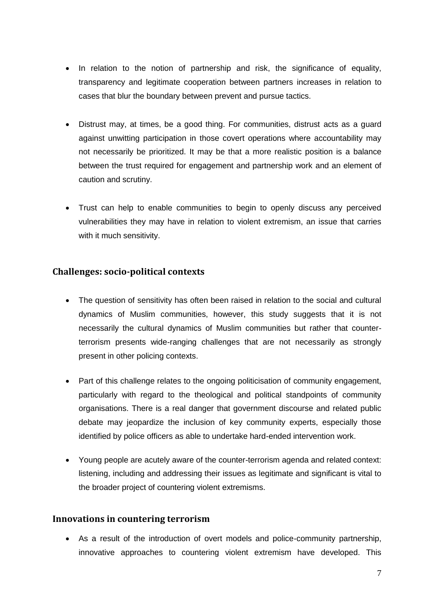- In relation to the notion of partnership and risk, the significance of equality, transparency and legitimate cooperation between partners increases in relation to cases that blur the boundary between prevent and pursue tactics.
- Distrust may, at times, be a good thing. For communities, distrust acts as a guard against unwitting participation in those covert operations where accountability may not necessarily be prioritized. It may be that a more realistic position is a balance between the trust required for engagement and partnership work and an element of caution and scrutiny.
- Trust can help to enable communities to begin to openly discuss any perceived vulnerabilities they may have in relation to violent extremism, an issue that carries with it much sensitivity.

## **Challenges: socio-political contexts**

- The question of sensitivity has often been raised in relation to the social and cultural dynamics of Muslim communities, however, this study suggests that it is not necessarily the cultural dynamics of Muslim communities but rather that counterterrorism presents wide-ranging challenges that are not necessarily as strongly present in other policing contexts.
- Part of this challenge relates to the ongoing politicisation of community engagement, particularly with regard to the theological and political standpoints of community organisations. There is a real danger that government discourse and related public debate may jeopardize the inclusion of key community experts, especially those identified by police officers as able to undertake hard-ended intervention work.
- Young people are acutely aware of the counter-terrorism agenda and related context: listening, including and addressing their issues as legitimate and significant is vital to the broader project of countering violent extremisms.

## **Innovations in countering terrorism**

 As a result of the introduction of overt models and police-community partnership, innovative approaches to countering violent extremism have developed. This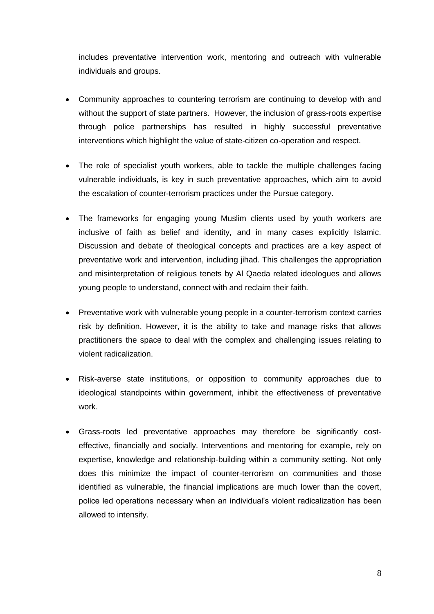includes preventative intervention work, mentoring and outreach with vulnerable individuals and groups.

- Community approaches to countering terrorism are continuing to develop with and without the support of state partners. However, the inclusion of grass-roots expertise through police partnerships has resulted in highly successful preventative interventions which highlight the value of state-citizen co-operation and respect.
- The role of specialist youth workers, able to tackle the multiple challenges facing vulnerable individuals, is key in such preventative approaches, which aim to avoid the escalation of counter-terrorism practices under the Pursue category.
- The frameworks for engaging young Muslim clients used by youth workers are inclusive of faith as belief and identity, and in many cases explicitly Islamic. Discussion and debate of theological concepts and practices are a key aspect of preventative work and intervention, including jihad. This challenges the appropriation and misinterpretation of religious tenets by Al Qaeda related ideologues and allows young people to understand, connect with and reclaim their faith.
- Preventative work with vulnerable young people in a counter-terrorism context carries risk by definition. However, it is the ability to take and manage risks that allows practitioners the space to deal with the complex and challenging issues relating to violent radicalization.
- Risk-averse state institutions, or opposition to community approaches due to ideological standpoints within government, inhibit the effectiveness of preventative work.
- Grass-roots led preventative approaches may therefore be significantly costeffective, financially and socially. Interventions and mentoring for example, rely on expertise, knowledge and relationship-building within a community setting. Not only does this minimize the impact of counter-terrorism on communities and those identified as vulnerable, the financial implications are much lower than the covert, police led operations necessary when an individual"s violent radicalization has been allowed to intensify.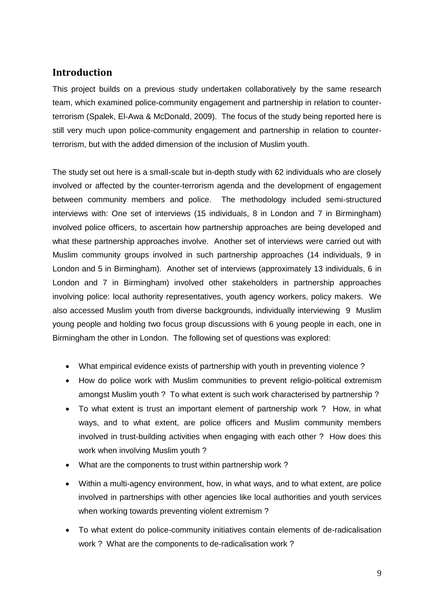## **Introduction**

This project builds on a previous study undertaken collaboratively by the same research team, which examined police-community engagement and partnership in relation to counterterrorism (Spalek, El-Awa & McDonald, 2009). The focus of the study being reported here is still very much upon police-community engagement and partnership in relation to counterterrorism, but with the added dimension of the inclusion of Muslim youth.

The study set out here is a small-scale but in-depth study with 62 individuals who are closely involved or affected by the counter-terrorism agenda and the development of engagement between community members and police. The methodology included semi-structured interviews with: One set of interviews (15 individuals, 8 in London and 7 in Birmingham) involved police officers, to ascertain how partnership approaches are being developed and what these partnership approaches involve. Another set of interviews were carried out with Muslim community groups involved in such partnership approaches (14 individuals, 9 in London and 5 in Birmingham). Another set of interviews (approximately 13 individuals, 6 in London and 7 in Birmingham) involved other stakeholders in partnership approaches involving police: local authority representatives, youth agency workers, policy makers. We also accessed Muslim youth from diverse backgrounds, individually interviewing 9 Muslim young people and holding two focus group discussions with 6 young people in each, one in Birmingham the other in London. The following set of questions was explored:

- What empirical evidence exists of partnership with youth in preventing violence ?
- How do police work with Muslim communities to prevent religio-political extremism amongst Muslim youth ? To what extent is such work characterised by partnership ?
- To what extent is trust an important element of partnership work ? How, in what ways, and to what extent, are police officers and Muslim community members involved in trust-building activities when engaging with each other ? How does this work when involving Muslim youth ?
- What are the components to trust within partnership work ?
- Within a multi-agency environment, how, in what ways, and to what extent, are police involved in partnerships with other agencies like local authorities and youth services when working towards preventing violent extremism ?
- To what extent do police-community initiatives contain elements of de-radicalisation work ? What are the components to de-radicalisation work ?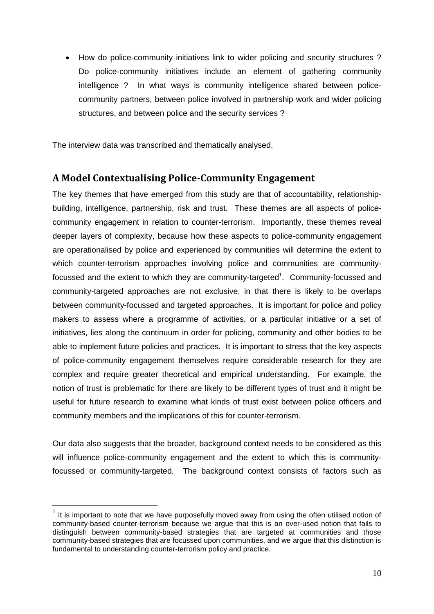• How do police-community initiatives link to wider policing and security structures? Do police-community initiatives include an element of gathering community intelligence ? In what ways is community intelligence shared between policecommunity partners, between police involved in partnership work and wider policing structures, and between police and the security services ?

The interview data was transcribed and thematically analysed.

## **A Model Contextualising Police-Community Engagement**

The key themes that have emerged from this study are that of accountability, relationshipbuilding, intelligence, partnership, risk and trust. These themes are all aspects of policecommunity engagement in relation to counter-terrorism. Importantly, these themes reveal deeper layers of complexity, because how these aspects to police-community engagement are operationalised by police and experienced by communities will determine the extent to which counter-terrorism approaches involving police and communities are communityfocussed and the extent to which they are community-targeted<sup>1</sup>. Community-focussed and community-targeted approaches are not exclusive, in that there is likely to be overlaps between community-focussed and targeted approaches. It is important for police and policy makers to assess where a programme of activities, or a particular initiative or a set of initiatives, lies along the continuum in order for policing, community and other bodies to be able to implement future policies and practices. It is important to stress that the key aspects of police-community engagement themselves require considerable research for they are complex and require greater theoretical and empirical understanding. For example, the notion of trust is problematic for there are likely to be different types of trust and it might be useful for future research to examine what kinds of trust exist between police officers and community members and the implications of this for counter-terrorism.

Our data also suggests that the broader, background context needs to be considered as this will influence police-community engagement and the extent to which this is communityfocussed or community-targeted. The background context consists of factors such as

1

 $1$  It is important to note that we have purposefully moved away from using the often utilised notion of community-based counter-terrorism because we argue that this is an over-used notion that fails to distinguish between community-based strategies that are targeted at communities and those community-based strategies that are focussed upon communities, and we argue that this distinction is fundamental to understanding counter-terrorism policy and practice.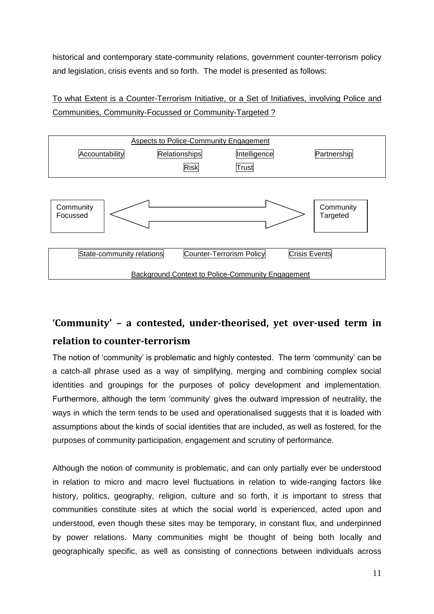historical and contemporary state-community relations, government counter-terrorism policy and legislation, crisis events and so forth. The model is presented as follows:

To what Extent is a Counter-Terrorism Initiative, or a Set of Initiatives, involving Police and Communities, Community-Focussed or Community-Targeted ?



## **'Community' – a contested, under-theorised, yet over-used term in relation to counter-terrorism**

The notion of "community" is problematic and highly contested. The term "community" can be a catch-all phrase used as a way of simplifying, merging and combining complex social identities and groupings for the purposes of policy development and implementation. Furthermore, although the term "community" gives the outward impression of neutrality, the ways in which the term tends to be used and operationalised suggests that it is loaded with assumptions about the kinds of social identities that are included, as well as fostered, for the purposes of community participation, engagement and scrutiny of performance.

Although the notion of community is problematic, and can only partially ever be understood in relation to micro and macro level fluctuations in relation to wide-ranging factors like history, politics, geography, religion, culture and so forth, it is important to stress that communities constitute sites at which the social world is experienced, acted upon and understood, even though these sites may be temporary, in constant flux, and underpinned by power relations. Many communities might be thought of being both locally and geographically specific, as well as consisting of connections between individuals across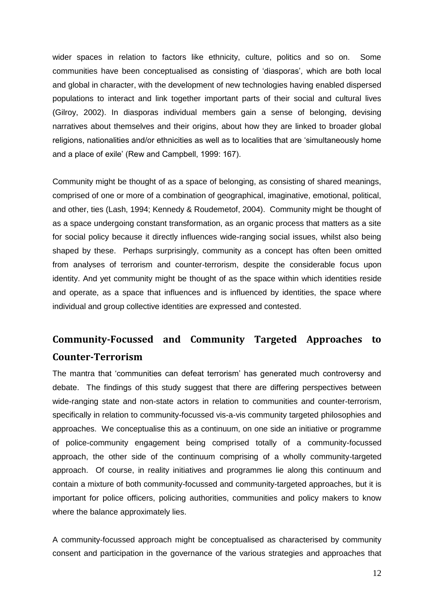wider spaces in relation to factors like ethnicity, culture, politics and so on. Some communities have been conceptualised as consisting of "diasporas", which are both local and global in character, with the development of new technologies having enabled dispersed populations to interact and link together important parts of their social and cultural lives (Gilroy, 2002). In diasporas individual members gain a sense of belonging, devising narratives about themselves and their origins, about how they are linked to broader global religions, nationalities and/or ethnicities as well as to localities that are "simultaneously home and a place of exile" (Rew and Campbell, 1999: 167).

Community might be thought of as a space of belonging, as consisting of shared meanings, comprised of one or more of a combination of geographical, imaginative, emotional, political, and other, ties (Lash, 1994; Kennedy & Roudemetof, 2004). Community might be thought of as a space undergoing constant transformation, as an organic process that matters as a site for social policy because it directly influences wide-ranging social issues, whilst also being shaped by these. Perhaps surprisingly, community as a concept has often been omitted from analyses of terrorism and counter-terrorism, despite the considerable focus upon identity. And yet community might be thought of as the space within which identities reside and operate, as a space that influences and is influenced by identities, the space where individual and group collective identities are expressed and contested.

## **Community-Focussed and Community Targeted Approaches to Counter-Terrorism**

The mantra that "communities can defeat terrorism" has generated much controversy and debate. The findings of this study suggest that there are differing perspectives between wide-ranging state and non-state actors in relation to communities and counter-terrorism, specifically in relation to community-focussed vis-a-vis community targeted philosophies and approaches. We conceptualise this as a continuum, on one side an initiative or programme of police-community engagement being comprised totally of a community-focussed approach, the other side of the continuum comprising of a wholly community-targeted approach. Of course, in reality initiatives and programmes lie along this continuum and contain a mixture of both community-focussed and community-targeted approaches, but it is important for police officers, policing authorities, communities and policy makers to know where the balance approximately lies.

A community-focussed approach might be conceptualised as characterised by community consent and participation in the governance of the various strategies and approaches that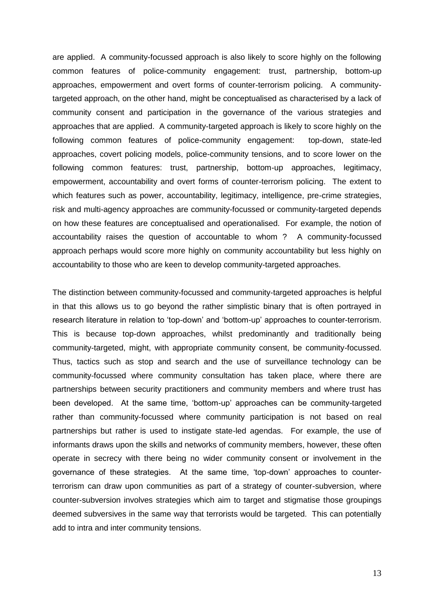are applied. A community-focussed approach is also likely to score highly on the following common features of police-community engagement: trust, partnership, bottom-up approaches, empowerment and overt forms of counter-terrorism policing. A communitytargeted approach, on the other hand, might be conceptualised as characterised by a lack of community consent and participation in the governance of the various strategies and approaches that are applied. A community-targeted approach is likely to score highly on the following common features of police-community engagement: top-down, state-led approaches, covert policing models, police-community tensions, and to score lower on the following common features: trust, partnership, bottom-up approaches, legitimacy, empowerment, accountability and overt forms of counter-terrorism policing. The extent to which features such as power, accountability, legitimacy, intelligence, pre-crime strategies, risk and multi-agency approaches are community-focussed or community-targeted depends on how these features are conceptualised and operationalised. For example, the notion of accountability raises the question of accountable to whom ? A community-focussed approach perhaps would score more highly on community accountability but less highly on accountability to those who are keen to develop community-targeted approaches.

The distinction between community-focussed and community-targeted approaches is helpful in that this allows us to go beyond the rather simplistic binary that is often portrayed in research literature in relation to "top-down" and "bottom-up" approaches to counter-terrorism. This is because top-down approaches, whilst predominantly and traditionally being community-targeted, might, with appropriate community consent, be community-focussed. Thus, tactics such as stop and search and the use of surveillance technology can be community-focussed where community consultation has taken place, where there are partnerships between security practitioners and community members and where trust has been developed. At the same time, "bottom-up" approaches can be community-targeted rather than community-focussed where community participation is not based on real partnerships but rather is used to instigate state-led agendas. For example, the use of informants draws upon the skills and networks of community members, however, these often operate in secrecy with there being no wider community consent or involvement in the governance of these strategies. At the same time, "top-down" approaches to counterterrorism can draw upon communities as part of a strategy of counter-subversion, where counter-subversion involves strategies which aim to target and stigmatise those groupings deemed subversives in the same way that terrorists would be targeted. This can potentially add to intra and inter community tensions.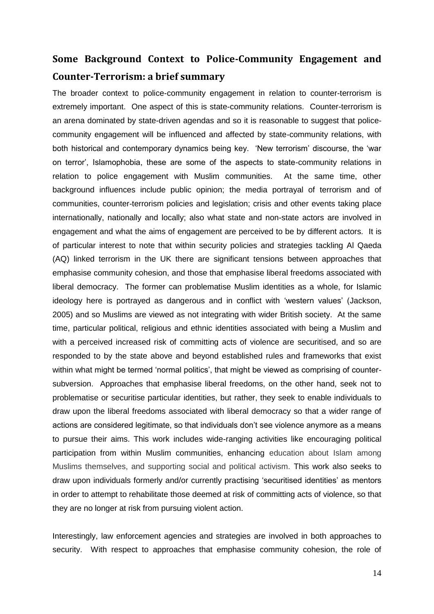## **Some Background Context to Police-Community Engagement and Counter-Terrorism: a brief summary**

The broader context to police-community engagement in relation to counter-terrorism is extremely important. One aspect of this is state-community relations. Counter-terrorism is an arena dominated by state-driven agendas and so it is reasonable to suggest that policecommunity engagement will be influenced and affected by state-community relations, with both historical and contemporary dynamics being key. "New terrorism" discourse, the "war on terror", Islamophobia, these are some of the aspects to state-community relations in relation to police engagement with Muslim communities. At the same time, other background influences include public opinion; the media portrayal of terrorism and of communities, counter-terrorism policies and legislation; crisis and other events taking place internationally, nationally and locally; also what state and non-state actors are involved in engagement and what the aims of engagement are perceived to be by different actors. It is of particular interest to note that within security policies and strategies tackling Al Qaeda (AQ) linked terrorism in the UK there are significant tensions between approaches that emphasise community cohesion, and those that emphasise liberal freedoms associated with liberal democracy. The former can problematise Muslim identities as a whole, for Islamic ideology here is portrayed as dangerous and in conflict with "western values" (Jackson, 2005) and so Muslims are viewed as not integrating with wider British society. At the same time, particular political, religious and ethnic identities associated with being a Muslim and with a perceived increased risk of committing acts of violence are securitised, and so are responded to by the state above and beyond established rules and frameworks that exist within what might be termed 'normal politics', that might be viewed as comprising of countersubversion. Approaches that emphasise liberal freedoms, on the other hand, seek not to problematise or securitise particular identities, but rather, they seek to enable individuals to draw upon the liberal freedoms associated with liberal democracy so that a wider range of actions are considered legitimate, so that individuals don"t see violence anymore as a means to pursue their aims. This work includes wide-ranging activities like encouraging political participation from within Muslim communities, enhancing education about Islam among Muslims themselves, and supporting social and political activism. This work also seeks to draw upon individuals formerly and/or currently practising "securitised identities" as mentors in order to attempt to rehabilitate those deemed at risk of committing acts of violence, so that they are no longer at risk from pursuing violent action.

Interestingly, law enforcement agencies and strategies are involved in both approaches to security. With respect to approaches that emphasise community cohesion, the role of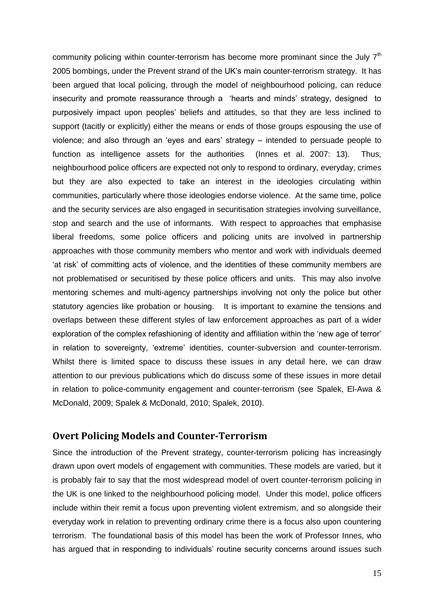community policing within counter-terrorism has become more prominant since the July  $7<sup>th</sup>$ 2005 bombings, under the Prevent strand of the UK"s main counter-terrorism strategy. It has been argued that local policing, through the model of neighbourhood policing, can reduce insecurity and promote reassurance through a "hearts and minds" strategy, designed to purposively impact upon peoples" beliefs and attitudes, so that they are less inclined to support (tacitly or explicitly) either the means or ends of those groups espousing the use of violence; and also through an "eyes and ears" strategy – intended to persuade people to function as intelligence assets for the authorities (Innes et al. 2007: 13). Thus, neighbourhood police officers are expected not only to respond to ordinary, everyday, crimes but they are also expected to take an interest in the ideologies circulating within communities, particularly where those ideologies endorse violence. At the same time, police and the security services are also engaged in securitisation strategies involving surveillance, stop and search and the use of informants. With respect to approaches that emphasise liberal freedoms, some police officers and policing units are involved in partnership approaches with those community members who mentor and work with individuals deemed 'at risk' of committing acts of violence, and the identities of these community members are not problematised or securitised by these police officers and units. This may also involve mentoring schemes and multi-agency partnerships involving not only the police but other statutory agencies like probation or housing. It is important to examine the tensions and overlaps between these different styles of law enforcement approaches as part of a wider exploration of the complex refashioning of identity and affiliation within the 'new age of terror' in relation to sovereignty, "extreme" identities, counter-subversion and counter-terrorism. Whilst there is limited space to discuss these issues in any detail here, we can draw attention to our previous publications which do discuss some of these issues in more detail in relation to police-community engagement and counter-terrorism (see Spalek, El-Awa & McDonald, 2009; Spalek & McDonald, 2010; Spalek, 2010).

## **Overt Policing Models and Counter-Terrorism**

Since the introduction of the Prevent strategy, counter-terrorism policing has increasingly drawn upon overt models of engagement with communities. These models are varied, but it is probably fair to say that the most widespread model of overt counter-terrorism policing in the UK is one linked to the neighbourhood policing model. Under this model, police officers include within their remit a focus upon preventing violent extremism, and so alongside their everyday work in relation to preventing ordinary crime there is a focus also upon countering terrorism. The foundational basis of this model has been the work of Professor Innes, who has argued that in responding to individuals" routine security concerns around issues such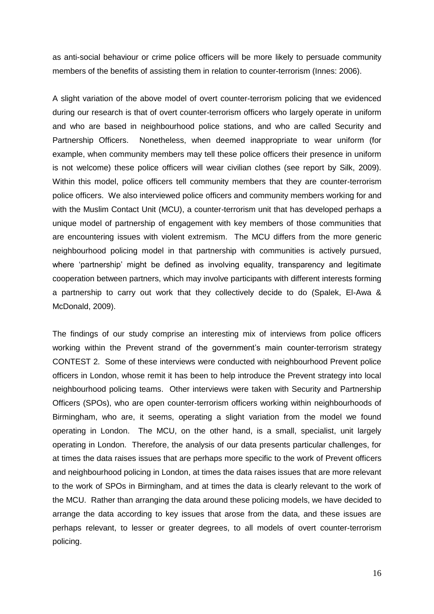as anti-social behaviour or crime police officers will be more likely to persuade community members of the benefits of assisting them in relation to counter-terrorism (Innes: 2006).

A slight variation of the above model of overt counter-terrorism policing that we evidenced during our research is that of overt counter-terrorism officers who largely operate in uniform and who are based in neighbourhood police stations, and who are called Security and Partnership Officers. Nonetheless, when deemed inappropriate to wear uniform (for example, when community members may tell these police officers their presence in uniform is not welcome) these police officers will wear civilian clothes (see report by Silk, 2009). Within this model, police officers tell community members that they are counter-terrorism police officers. We also interviewed police officers and community members working for and with the Muslim Contact Unit (MCU), a counter-terrorism unit that has developed perhaps a unique model of partnership of engagement with key members of those communities that are encountering issues with violent extremism. The MCU differs from the more generic neighbourhood policing model in that partnership with communities is actively pursued, where 'partnership' might be defined as involving equality, transparency and legitimate cooperation between partners, which may involve participants with different interests forming a partnership to carry out work that they collectively decide to do (Spalek, El-Awa & McDonald, 2009).

The findings of our study comprise an interesting mix of interviews from police officers working within the Prevent strand of the government's main counter-terrorism strategy CONTEST 2. Some of these interviews were conducted with neighbourhood Prevent police officers in London, whose remit it has been to help introduce the Prevent strategy into local neighbourhood policing teams. Other interviews were taken with Security and Partnership Officers (SPOs), who are open counter-terrorism officers working within neighbourhoods of Birmingham, who are, it seems, operating a slight variation from the model we found operating in London. The MCU, on the other hand, is a small, specialist, unit largely operating in London. Therefore, the analysis of our data presents particular challenges, for at times the data raises issues that are perhaps more specific to the work of Prevent officers and neighbourhood policing in London, at times the data raises issues that are more relevant to the work of SPOs in Birmingham, and at times the data is clearly relevant to the work of the MCU. Rather than arranging the data around these policing models, we have decided to arrange the data according to key issues that arose from the data, and these issues are perhaps relevant, to lesser or greater degrees, to all models of overt counter-terrorism policing.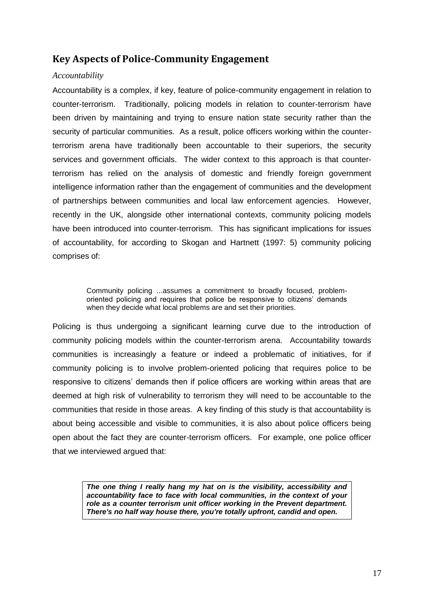## **Key Aspects of Police-Community Engagement**

#### *Accountability*

Accountability is a complex, if key, feature of police-community engagement in relation to counter-terrorism. Traditionally, policing models in relation to counter-terrorism have been driven by maintaining and trying to ensure nation state security rather than the security of particular communities. As a result, police officers working within the counterterrorism arena have traditionally been accountable to their superiors, the security services and government officials. The wider context to this approach is that counterterrorism has relied on the analysis of domestic and friendly foreign government intelligence information rather than the engagement of communities and the development of partnerships between communities and local law enforcement agencies. However, recently in the UK, alongside other international contexts, community policing models have been introduced into counter-terrorism. This has significant implications for issues of accountability, for according to Skogan and Hartnett (1997: 5) community policing comprises of:

> Community policing ...assumes a commitment to broadly focused, problemoriented policing and requires that police be responsive to citizens" demands when they decide what local problems are and set their priorities.

Policing is thus undergoing a significant learning curve due to the introduction of community policing models within the counter-terrorism arena. Accountability towards communities is increasingly a feature or indeed a problematic of initiatives, for if community policing is to involve problem-oriented policing that requires police to be responsive to citizens" demands then if police officers are working within areas that are deemed at high risk of vulnerability to terrorism they will need to be accountable to the communities that reside in those areas. A key finding of this study is that accountability is about being accessible and visible to communities, it is also about police officers being open about the fact they are counter-terrorism officers. For example, one police officer that we interviewed argued that:

> *The one thing I really hang my hat on is the visibility, accessibility and accountability face to face with local communities, in the context of your role as a counter terrorism unit officer working in the Prevent department. There's no half way house there, you're totally upfront, candid and open.*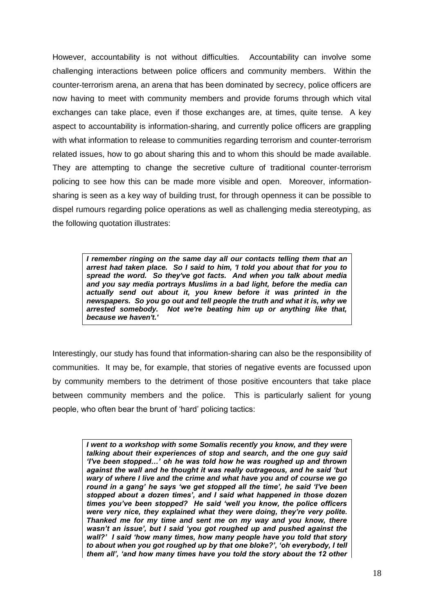However, accountability is not without difficulties. Accountability can involve some challenging interactions between police officers and community members. Within the counter-terrorism arena, an arena that has been dominated by secrecy, police officers are now having to meet with community members and provide forums through which vital exchanges can take place, even if those exchanges are, at times, quite tense. A key aspect to accountability is information-sharing, and currently police officers are grappling with what information to release to communities regarding terrorism and counter-terrorism related issues, how to go about sharing this and to whom this should be made available. They are attempting to change the secretive culture of traditional counter-terrorism policing to see how this can be made more visible and open. Moreover, informationsharing is seen as a key way of building trust, for through openness it can be possible to dispel rumours regarding police operations as well as challenging media stereotyping, as the following quotation illustrates:

> *I remember ringing on the same day all our contacts telling them that an arrest had taken place. So I said to him, 'I told you about that for you to spread the word. So they've got facts. And when you talk about media and you say media portrays Muslims in a bad light, before the media can actually send out about it, you knew before it was printed in the newspapers. So you go out and tell people the truth and what it is, why we arrested somebody. Not we're beating him up or anything like that, because we haven't.'*

Interestingly, our study has found that information-sharing can also be the responsibility of communities. It may be, for example, that stories of negative events are focussed upon by community members to the detriment of those positive encounters that take place between community members and the police. This is particularly salient for young people, who often bear the brunt of "hard" policing tactics:

> *I went to a workshop with some Somalis recently you know, and they were talking about their experiences of stop and search, and the one guy said 'I've been stopped…' oh he was told how he was roughed up and thrown against the wall and he thought it was really outrageous, and he said 'but wary of where I live and the crime and what have you and of course we go round in a gang' he says 'we get stopped all the time', he said 'I've been stopped about a dozen times', and I said what happened in those dozen times you've been stopped? He said 'well you know, the police officers were very nice, they explained what they were doing, they're very polite. Thanked me for my time and sent me on my way and you know, there wasn't an issue', but I said 'you got roughed up and pushed against the wall?' I said 'how many times, how many people have you told that story to about when you got roughed up by that one bloke?', 'oh everybody, I tell them all', 'and how many times have you told the story about the 12 other*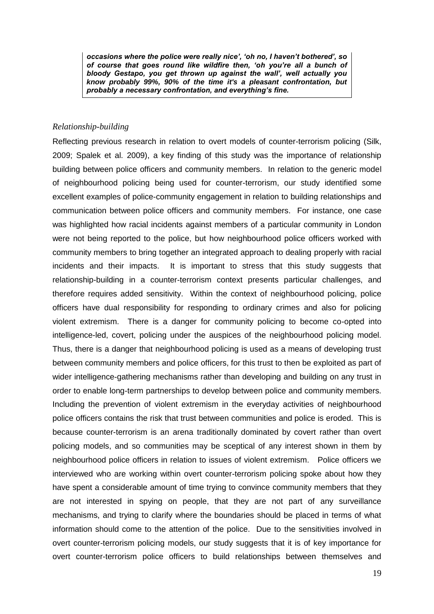*occasions where the police were really nice', 'oh no, I haven't bothered', so of course that goes round like wildfire then, 'oh you're all a bunch of bloody Gestapo, you get thrown up against the wall', well actually you know probably 99%, 90% of the time it's a pleasant confrontation, but probably a necessary confrontation, and everything's fine.*

#### *Relationship-building*

Reflecting previous research in relation to overt models of counter-terrorism policing (Silk, 2009; Spalek et al. 2009), a key finding of this study was the importance of relationship building between police officers and community members. In relation to the generic model of neighbourhood policing being used for counter-terrorism, our study identified some excellent examples of police-community engagement in relation to building relationships and communication between police officers and community members. For instance, one case was highlighted how racial incidents against members of a particular community in London were not being reported to the police, but how neighbourhood police officers worked with community members to bring together an integrated approach to dealing properly with racial incidents and their impacts. It is important to stress that this study suggests that relationship-building in a counter-terrorism context presents particular challenges, and therefore requires added sensitivity. Within the context of neighbourhood policing, police officers have dual responsibility for responding to ordinary crimes and also for policing violent extremism. There is a danger for community policing to become co-opted into intelligence-led, covert, policing under the auspices of the neighbourhood policing model. Thus, there is a danger that neighbourhood policing is used as a means of developing trust between community members and police officers, for this trust to then be exploited as part of wider intelligence-gathering mechanisms rather than developing and building on any trust in order to enable long-term partnerships to develop between police and community members. Including the prevention of violent extremism in the everyday activities of neighbourhood police officers contains the risk that trust between communities and police is eroded. This is because counter-terrorism is an arena traditionally dominated by covert rather than overt policing models, and so communities may be sceptical of any interest shown in them by neighbourhood police officers in relation to issues of violent extremism. Police officers we interviewed who are working within overt counter-terrorism policing spoke about how they have spent a considerable amount of time trying to convince community members that they are not interested in spying on people, that they are not part of any surveillance mechanisms, and trying to clarify where the boundaries should be placed in terms of what information should come to the attention of the police. Due to the sensitivities involved in overt counter-terrorism policing models, our study suggests that it is of key importance for overt counter-terrorism police officers to build relationships between themselves and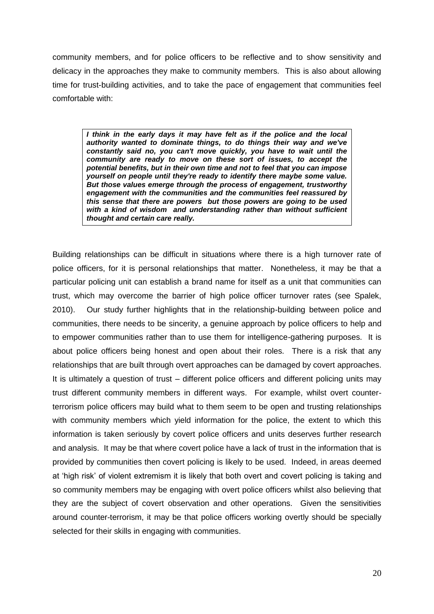community members, and for police officers to be reflective and to show sensitivity and delicacy in the approaches they make to community members. This is also about allowing time for trust-building activities, and to take the pace of engagement that communities feel comfortable with:

> *I think in the early days it may have felt as if the police and the local authority wanted to dominate things, to do things their way and we've constantly said no, you can't move quickly, you have to wait until the community are ready to move on these sort of issues, to accept the potential benefits, but in their own time and not to feel that you can impose yourself on people until they're ready to identify there maybe some value. But those values emerge through the process of engagement, trustworthy engagement with the communities and the communities feel reassured by this sense that there are powers but those powers are going to be used with a kind of wisdom and understanding rather than without sufficient thought and certain care really.*

Building relationships can be difficult in situations where there is a high turnover rate of police officers, for it is personal relationships that matter. Nonetheless, it may be that a particular policing unit can establish a brand name for itself as a unit that communities can trust, which may overcome the barrier of high police officer turnover rates (see Spalek, 2010). Our study further highlights that in the relationship-building between police and communities, there needs to be sincerity, a genuine approach by police officers to help and to empower communities rather than to use them for intelligence-gathering purposes. It is about police officers being honest and open about their roles. There is a risk that any relationships that are built through overt approaches can be damaged by covert approaches. It is ultimately a question of trust – different police officers and different policing units may trust different community members in different ways. For example, whilst overt counterterrorism police officers may build what to them seem to be open and trusting relationships with community members which yield information for the police, the extent to which this information is taken seriously by covert police officers and units deserves further research and analysis. It may be that where covert police have a lack of trust in the information that is provided by communities then covert policing is likely to be used. Indeed, in areas deemed at "high risk" of violent extremism it is likely that both overt and covert policing is taking and so community members may be engaging with overt police officers whilst also believing that they are the subject of covert observation and other operations. Given the sensitivities around counter-terrorism, it may be that police officers working overtly should be specially selected for their skills in engaging with communities.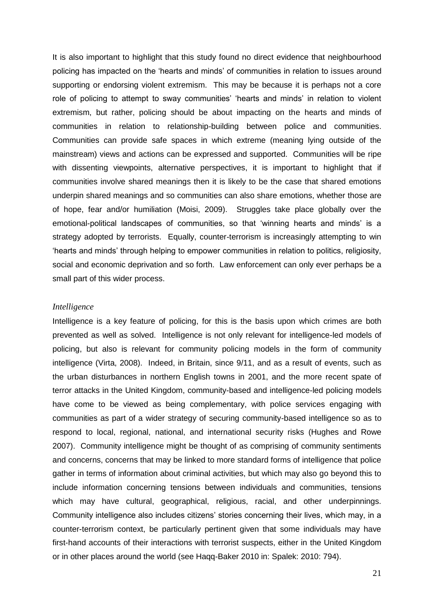It is also important to highlight that this study found no direct evidence that neighbourhood policing has impacted on the "hearts and minds" of communities in relation to issues around supporting or endorsing violent extremism. This may be because it is perhaps not a core role of policing to attempt to sway communities' 'hearts and minds' in relation to violent extremism, but rather, policing should be about impacting on the hearts and minds of communities in relation to relationship-building between police and communities. Communities can provide safe spaces in which extreme (meaning lying outside of the mainstream) views and actions can be expressed and supported. Communities will be ripe with dissenting viewpoints, alternative perspectives, it is important to highlight that if communities involve shared meanings then it is likely to be the case that shared emotions underpin shared meanings and so communities can also share emotions, whether those are of hope, fear and/or humiliation (Moisi, 2009). Struggles take place globally over the emotional-political landscapes of communities, so that "winning hearts and minds" is a strategy adopted by terrorists. Equally, counter-terrorism is increasingly attempting to win "hearts and minds" through helping to empower communities in relation to politics, religiosity, social and economic deprivation and so forth. Law enforcement can only ever perhaps be a small part of this wider process.

#### *Intelligence*

Intelligence is a key feature of policing, for this is the basis upon which crimes are both prevented as well as solved. Intelligence is not only relevant for intelligence-led models of policing, but also is relevant for community policing models in the form of community intelligence (Virta, 2008). Indeed, in Britain, since 9/11, and as a result of events, such as the urban disturbances in northern English towns in 2001, and the more recent spate of terror attacks in the United Kingdom, community-based and intelligence-led policing models have come to be viewed as being complementary, with police services engaging with communities as part of a wider strategy of securing community-based intelligence so as to respond to local, regional, national, and international security risks (Hughes and Rowe 2007). Community intelligence might be thought of as comprising of community sentiments and concerns, concerns that may be linked to more standard forms of intelligence that police gather in terms of information about criminal activities, but which may also go beyond this to include information concerning tensions between individuals and communities, tensions which may have cultural, geographical, religious, racial, and other underpinnings. Community intelligence also includes citizens" stories concerning their lives, which may, in a counter-terrorism context, be particularly pertinent given that some individuals may have first-hand accounts of their interactions with terrorist suspects, either in the United Kingdom or in other places around the world (see Haqq-Baker 2010 in: Spalek: 2010: 794).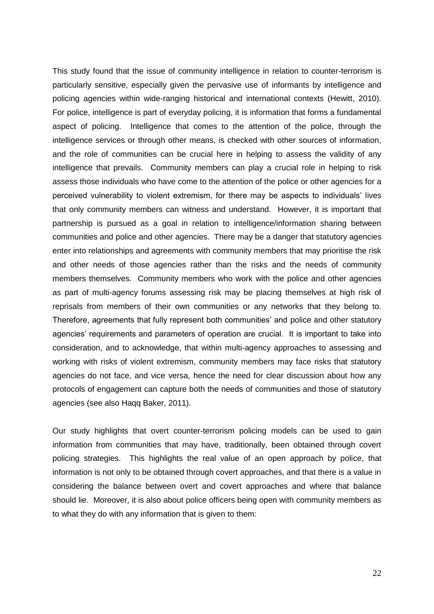This study found that the issue of community intelligence in relation to counter-terrorism is particularly sensitive, especially given the pervasive use of informants by intelligence and policing agencies within wide-ranging historical and international contexts (Hewitt, 2010). For police, intelligence is part of everyday policing, it is information that forms a fundamental aspect of policing. Intelligence that comes to the attention of the police, through the intelligence services or through other means, is checked with other sources of information, and the role of communities can be crucial here in helping to assess the validity of any intelligence that prevails. Community members can play a crucial role in helping to risk assess those individuals who have come to the attention of the police or other agencies for a perceived vulnerability to violent extremism, for there may be aspects to individuals" lives that only community members can witness and understand. However, it is important that partnership is pursued as a goal in relation to intelligence/information sharing between communities and police and other agencies. There may be a danger that statutory agencies enter into relationships and agreements with community members that may prioritise the risk and other needs of those agencies rather than the risks and the needs of community members themselves. Community members who work with the police and other agencies as part of multi-agency forums assessing risk may be placing themselves at high risk of reprisals from members of their own communities or any networks that they belong to. Therefore, agreements that fully represent both communities" and police and other statutory agencies" requirements and parameters of operation are crucial. It is important to take into consideration, and to acknowledge, that within multi-agency approaches to assessing and working with risks of violent extremism, community members may face risks that statutory agencies do not face, and vice versa, hence the need for clear discussion about how any protocols of engagement can capture both the needs of communities and those of statutory agencies (see also Haqq Baker, 2011).

Our study highlights that overt counter-terrorism policing models can be used to gain information from communities that may have, traditionally, been obtained through covert policing strategies. This highlights the real value of an open approach by police, that information is not only to be obtained through covert approaches, and that there is a value in considering the balance between overt and covert approaches and where that balance should lie. Moreover, it is also about police officers being open with community members as to what they do with any information that is given to them: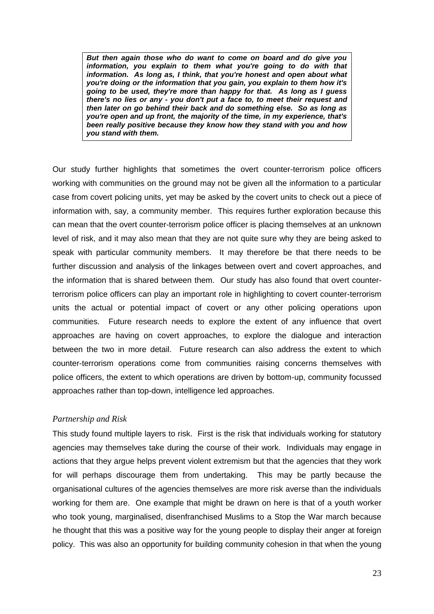*But then again those who do want to come on board and do give you information, you explain to them what you're going to do with that information. As long as, I think, that you're honest and open about what you're doing or the information that you gain, you explain to them how it's going to be used, they're more than happy for that. As long as I guess there's no lies or any - you don't put a face to, to meet their request and then later on go behind their back and do something else. So as long as you're open and up front, the majority of the time, in my experience, that's been really positive because they know how they stand with you and how you stand with them.*

Our study further highlights that sometimes the overt counter-terrorism police officers working with communities on the ground may not be given all the information to a particular case from covert policing units, yet may be asked by the covert units to check out a piece of information with, say, a community member. This requires further exploration because this can mean that the overt counter-terrorism police officer is placing themselves at an unknown level of risk, and it may also mean that they are not quite sure why they are being asked to speak with particular community members. It may therefore be that there needs to be further discussion and analysis of the linkages between overt and covert approaches, and the information that is shared between them. Our study has also found that overt counterterrorism police officers can play an important role in highlighting to covert counter-terrorism units the actual or potential impact of covert or any other policing operations upon communities. Future research needs to explore the extent of any influence that overt approaches are having on covert approaches, to explore the dialogue and interaction between the two in more detail. Future research can also address the extent to which counter-terrorism operations come from communities raising concerns themselves with police officers, the extent to which operations are driven by bottom-up, community focussed approaches rather than top-down, intelligence led approaches.

#### *Partnership and Risk*

This study found multiple layers to risk. First is the risk that individuals working for statutory agencies may themselves take during the course of their work. Individuals may engage in actions that they argue helps prevent violent extremism but that the agencies that they work for will perhaps discourage them from undertaking. This may be partly because the organisational cultures of the agencies themselves are more risk averse than the individuals working for them are. One example that might be drawn on here is that of a youth worker who took young, marginalised, disenfranchised Muslims to a Stop the War march because he thought that this was a positive way for the young people to display their anger at foreign policy. This was also an opportunity for building community cohesion in that when the young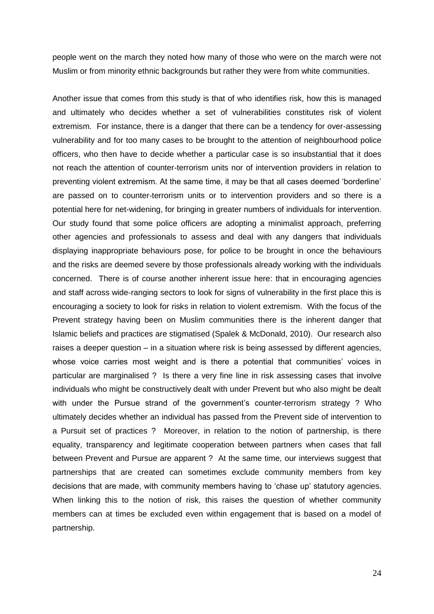people went on the march they noted how many of those who were on the march were not Muslim or from minority ethnic backgrounds but rather they were from white communities.

Another issue that comes from this study is that of who identifies risk, how this is managed and ultimately who decides whether a set of vulnerabilities constitutes risk of violent extremism. For instance, there is a danger that there can be a tendency for over-assessing vulnerability and for too many cases to be brought to the attention of neighbourhood police officers, who then have to decide whether a particular case is so insubstantial that it does not reach the attention of counter-terrorism units nor of intervention providers in relation to preventing violent extremism. At the same time, it may be that all cases deemed "borderline" are passed on to counter-terrorism units or to intervention providers and so there is a potential here for net-widening, for bringing in greater numbers of individuals for intervention. Our study found that some police officers are adopting a minimalist approach, preferring other agencies and professionals to assess and deal with any dangers that individuals displaying inappropriate behaviours pose, for police to be brought in once the behaviours and the risks are deemed severe by those professionals already working with the individuals concerned. There is of course another inherent issue here: that in encouraging agencies and staff across wide-ranging sectors to look for signs of vulnerability in the first place this is encouraging a society to look for risks in relation to violent extremism. With the focus of the Prevent strategy having been on Muslim communities there is the inherent danger that Islamic beliefs and practices are stigmatised (Spalek & McDonald, 2010). Our research also raises a deeper question – in a situation where risk is being assessed by different agencies, whose voice carries most weight and is there a potential that communities' voices in particular are marginalised ? Is there a very fine line in risk assessing cases that involve individuals who might be constructively dealt with under Prevent but who also might be dealt with under the Pursue strand of the government's counter-terrorism strategy ? Who ultimately decides whether an individual has passed from the Prevent side of intervention to a Pursuit set of practices ? Moreover, in relation to the notion of partnership, is there equality, transparency and legitimate cooperation between partners when cases that fall between Prevent and Pursue are apparent ? At the same time, our interviews suggest that partnerships that are created can sometimes exclude community members from key decisions that are made, with community members having to "chase up" statutory agencies. When linking this to the notion of risk, this raises the question of whether community members can at times be excluded even within engagement that is based on a model of partnership.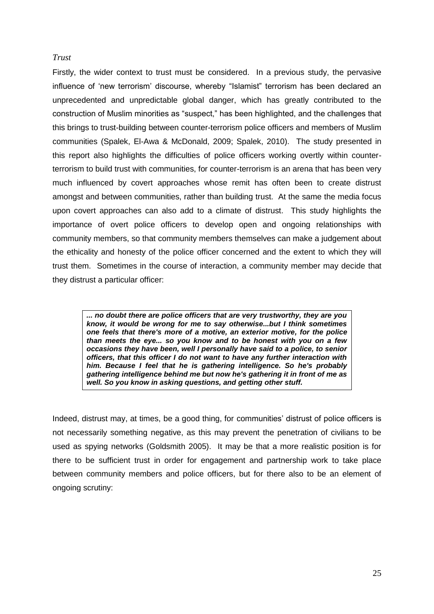#### *Trust*

Firstly, the wider context to trust must be considered. In a previous study, the pervasive influence of "new terrorism" discourse, whereby "Islamist" terrorism has been declared an unprecedented and unpredictable global danger, which has greatly contributed to the construction of Muslim minorities as "suspect," has been highlighted, and the challenges that this brings to trust-building between counter-terrorism police officers and members of Muslim communities (Spalek, El-Awa & McDonald, 2009; Spalek, 2010). The study presented in this report also highlights the difficulties of police officers working overtly within counterterrorism to build trust with communities, for counter-terrorism is an arena that has been very much influenced by covert approaches whose remit has often been to create distrust amongst and between communities, rather than building trust. At the same the media focus upon covert approaches can also add to a climate of distrust. This study highlights the importance of overt police officers to develop open and ongoing relationships with community members, so that community members themselves can make a judgement about the ethicality and honesty of the police officer concerned and the extent to which they will trust them. Sometimes in the course of interaction, a community member may decide that they distrust a particular officer:

> *... no doubt there are police officers that are very trustworthy, they are you know, it would be wrong for me to say otherwise...but I think sometimes one feels that there's more of a motive, an exterior motive, for the police than meets the eye... so you know and to be honest with you on a few occasions they have been, well I personally have said to a police, to senior officers, that this officer I do not want to have any further interaction with him. Because I feel that he is gathering intelligence. So he's probably gathering intelligence behind me but now he's gathering it in front of me as well. So you know in asking questions, and getting other stuff.*

Indeed, distrust may, at times, be a good thing, for communities' distrust of police officers is not necessarily something negative, as this may prevent the penetration of civilians to be used as spying networks (Goldsmith 2005). It may be that a more realistic position is for there to be sufficient trust in order for engagement and partnership work to take place between community members and police officers, but for there also to be an element of ongoing scrutiny: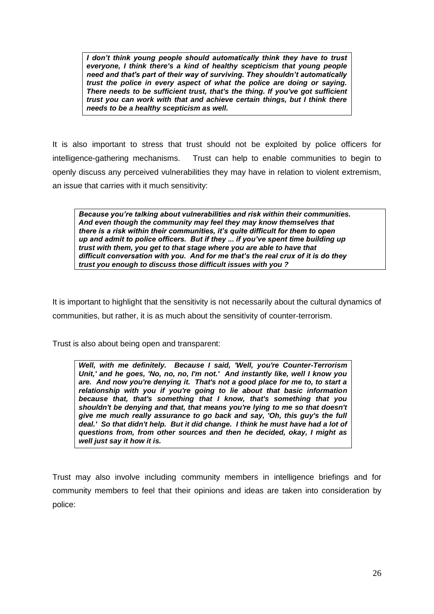*I don't think young people should automatically think they have to trust everyone, I think there's a kind of healthy scepticism that young people need and that's part of their way of surviving. They shouldn't automatically trust the police in every aspect of what the police are doing or saying. There needs to be sufficient trust, that's the thing. If you've got sufficient trust you can work with that and achieve certain things, but I think there needs to be a healthy scepticism as well.* 

It is also important to stress that trust should not be exploited by police officers for intelligence-gathering mechanisms. Trust can help to enable communities to begin to openly discuss any perceived vulnerabilities they may have in relation to violent extremism, an issue that carries with it much sensitivity:

*Because you're talking about vulnerabilities and risk within their communities. And even though the community may feel they may know themselves that there is a risk within their communities, it's quite difficult for them to open up and admit to police officers. But if they ... if you've spent time building up trust with them, you get to that stage where you are able to have that difficult conversation with you. And for me that's the real crux of it is do they trust you enough to discuss those difficult issues with you ?*

It is important to highlight that the sensitivity is not necessarily about the cultural dynamics of communities, but rather, it is as much about the sensitivity of counter-terrorism.

Trust is also about being open and transparent:

*Well, with me definitely. Because I said, 'Well, you're Counter-Terrorism Unit,' and he goes, 'No, no, no, I'm not.' And instantly like, well I know you are. And now you're denying it. That's not a good place for me to, to start a relationship with you if you're going to lie about that basic information because that, that's something that I know, that's something that you shouldn't be denying and that, that means you're lying to me so that doesn't give me much really assurance to go back and say, 'Oh, this guy's the full deal.' So that didn't help. But it did change. I think he must have had a lot of questions from, from other sources and then he decided, okay, I might as well just say it how it is.*

Trust may also involve including community members in intelligence briefings and for community members to feel that their opinions and ideas are taken into consideration by police: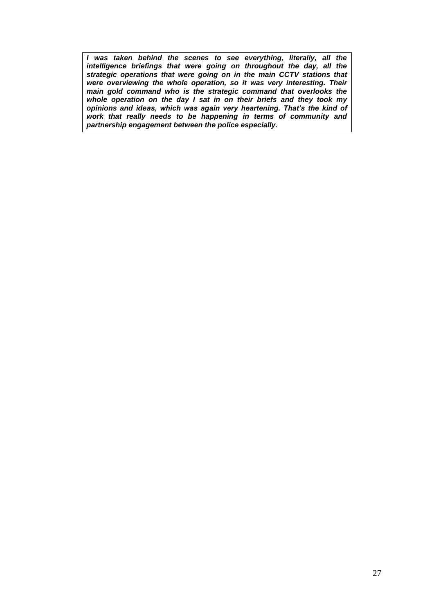*I was taken behind the scenes to see everything, literally, all the intelligence briefings that were going on throughout the day, all the strategic operations that were going on in the main CCTV stations that were overviewing the whole operation, so it was very interesting. Their main gold command who is the strategic command that overlooks the whole operation on the day I sat in on their briefs and they took my opinions and ideas, which was again very heartening. That's the kind of work that really needs to be happening in terms of community and partnership engagement between the police especially.*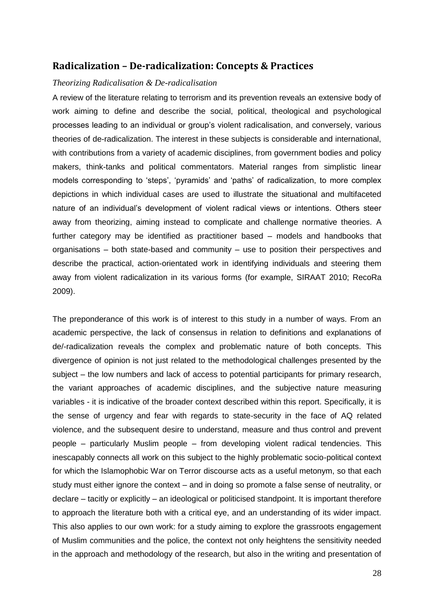## **Radicalization – De-radicalization: Concepts & Practices**

#### *Theorizing Radicalisation & De-radicalisation*

A review of the literature relating to terrorism and its prevention reveals an extensive body of work aiming to define and describe the social, political, theological and psychological processes leading to an individual or group"s violent radicalisation, and conversely, various theories of de-radicalization. The interest in these subjects is considerable and international, with contributions from a variety of academic disciplines, from government bodies and policy makers, think-tanks and political commentators. Material ranges from simplistic linear models corresponding to 'steps', 'pyramids' and 'paths' of radicalization, to more complex depictions in which individual cases are used to illustrate the situational and multifaceted nature of an individual"s development of violent radical views or intentions. Others steer away from theorizing, aiming instead to complicate and challenge normative theories. A further category may be identified as practitioner based – models and handbooks that organisations – both state-based and community – use to position their perspectives and describe the practical, action-orientated work in identifying individuals and steering them away from violent radicalization in its various forms (for example, SIRAAT 2010; RecoRa 2009).

The preponderance of this work is of interest to this study in a number of ways. From an academic perspective, the lack of consensus in relation to definitions and explanations of de/-radicalization reveals the complex and problematic nature of both concepts. This divergence of opinion is not just related to the methodological challenges presented by the subject – the low numbers and lack of access to potential participants for primary research, the variant approaches of academic disciplines, and the subjective nature measuring variables - it is indicative of the broader context described within this report. Specifically, it is the sense of urgency and fear with regards to state-security in the face of AQ related violence, and the subsequent desire to understand, measure and thus control and prevent people – particularly Muslim people – from developing violent radical tendencies. This inescapably connects all work on this subject to the highly problematic socio-political context for which the Islamophobic War on Terror discourse acts as a useful metonym, so that each study must either ignore the context – and in doing so promote a false sense of neutrality, or declare – tacitly or explicitly – an ideological or politicised standpoint. It is important therefore to approach the literature both with a critical eye, and an understanding of its wider impact. This also applies to our own work: for a study aiming to explore the grassroots engagement of Muslim communities and the police, the context not only heightens the sensitivity needed in the approach and methodology of the research, but also in the writing and presentation of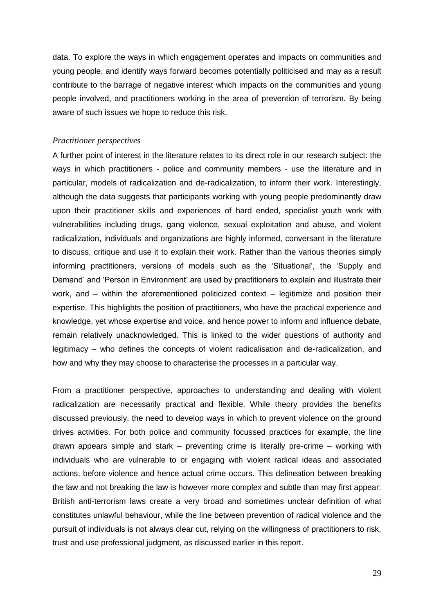data. To explore the ways in which engagement operates and impacts on communities and young people, and identify ways forward becomes potentially politicised and may as a result contribute to the barrage of negative interest which impacts on the communities and young people involved, and practitioners working in the area of prevention of terrorism. By being aware of such issues we hope to reduce this risk.

#### *Practitioner perspectives*

A further point of interest in the literature relates to its direct role in our research subject: the ways in which practitioners - police and community members - use the literature and in particular, models of radicalization and de-radicalization, to inform their work. Interestingly, although the data suggests that participants working with young people predominantly draw upon their practitioner skills and experiences of hard ended, specialist youth work with vulnerabilities including drugs, gang violence, sexual exploitation and abuse, and violent radicalization, individuals and organizations are highly informed, conversant in the literature to discuss, critique and use it to explain their work. Rather than the various theories simply informing practitioners, versions of models such as the 'Situational', the 'Supply and Demand' and 'Person in Environment' are used by practitioners to explain and illustrate their work, and – within the aforementioned politicized context – legitimize and position their expertise. This highlights the position of practitioners, who have the practical experience and knowledge, yet whose expertise and voice, and hence power to inform and influence debate, remain relatively unacknowledged. This is linked to the wider questions of authority and legitimacy – who defines the concepts of violent radicalisation and de-radicalization, and how and why they may choose to characterise the processes in a particular way.

From a practitioner perspective, approaches to understanding and dealing with violent radicalization are necessarily practical and flexible. While theory provides the benefits discussed previously, the need to develop ways in which to prevent violence on the ground drives activities. For both police and community focussed practices for example, the line drawn appears simple and stark – preventing crime is literally pre-crime – working with individuals who are vulnerable to or engaging with violent radical ideas and associated actions, before violence and hence actual crime occurs. This delineation between breaking the law and not breaking the law is however more complex and subtle than may first appear: British anti-terrorism laws create a very broad and sometimes unclear definition of what constitutes unlawful behaviour, while the line between prevention of radical violence and the pursuit of individuals is not always clear cut, relying on the willingness of practitioners to risk, trust and use professional judgment, as discussed earlier in this report.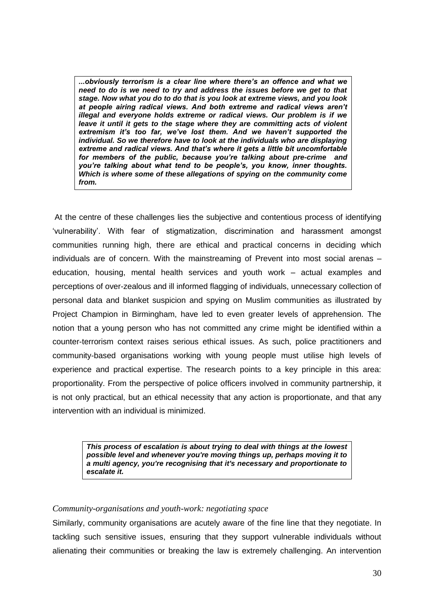*...obviously terrorism is a clear line where there's an offence and what we need to do is we need to try and address the issues before we get to that stage. Now what you do to do that is you look at extreme views, and you look at people airing radical views. And both extreme and radical views aren't illegal and everyone holds extreme or radical views. Our problem is if we*  leave it until it gets to the stage where they are committing acts of violent *extremism it's too far, we've lost them. And we haven't supported the individual. So we therefore have to look at the individuals who are displaying extreme and radical views. And that's where it gets a little bit uncomfortable for members of the public, because you're talking about pre-crime and you're talking about what tend to be people's, you know, inner thoughts. Which is where some of these allegations of spying on the community come from.*

At the centre of these challenges lies the subjective and contentious process of identifying "vulnerability". With fear of stigmatization, discrimination and harassment amongst communities running high, there are ethical and practical concerns in deciding which individuals are of concern. With the mainstreaming of Prevent into most social arenas – education, housing, mental health services and youth work – actual examples and perceptions of over-zealous and ill informed flagging of individuals, unnecessary collection of personal data and blanket suspicion and spying on Muslim communities as illustrated by Project Champion in Birmingham, have led to even greater levels of apprehension. The notion that a young person who has not committed any crime might be identified within a counter-terrorism context raises serious ethical issues. As such, police practitioners and community-based organisations working with young people must utilise high levels of experience and practical expertise. The research points to a key principle in this area: proportionality. From the perspective of police officers involved in community partnership, it is not only practical, but an ethical necessity that any action is proportionate, and that any intervention with an individual is minimized.

> *This process of escalation is about trying to deal with things at the lowest possible level and whenever you're moving things up, perhaps moving it to a multi agency, you're recognising that it's necessary and proportionate to escalate it.*

#### *Community-organisations and youth-work: negotiating space*

Similarly, community organisations are acutely aware of the fine line that they negotiate. In tackling such sensitive issues, ensuring that they support vulnerable individuals without alienating their communities or breaking the law is extremely challenging. An intervention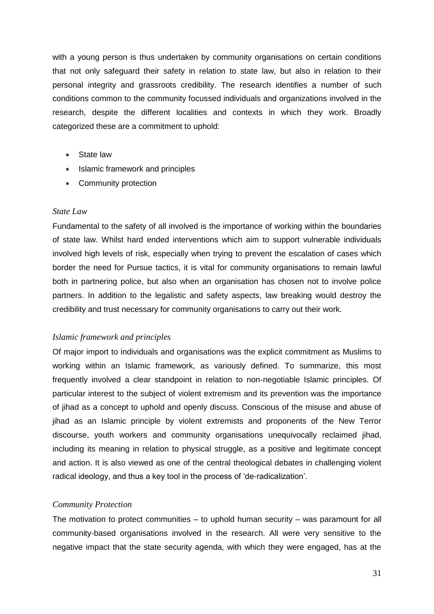with a young person is thus undertaken by community organisations on certain conditions that not only safeguard their safety in relation to state law, but also in relation to their personal integrity and grassroots credibility. The research identifies a number of such conditions common to the community focussed individuals and organizations involved in the research, despite the different localities and contexts in which they work. Broadly categorized these are a commitment to uphold:

- State law
- Islamic framework and principles
- Community protection

#### *State Law*

Fundamental to the safety of all involved is the importance of working within the boundaries of state law. Whilst hard ended interventions which aim to support vulnerable individuals involved high levels of risk, especially when trying to prevent the escalation of cases which border the need for Pursue tactics, it is vital for community organisations to remain lawful both in partnering police, but also when an organisation has chosen not to involve police partners. In addition to the legalistic and safety aspects, law breaking would destroy the credibility and trust necessary for community organisations to carry out their work.

#### *Islamic framework and principles*

Of major import to individuals and organisations was the explicit commitment as Muslims to working within an Islamic framework, as variously defined. To summarize, this most frequently involved a clear standpoint in relation to non-negotiable Islamic principles. Of particular interest to the subject of violent extremism and its prevention was the importance of jihad as a concept to uphold and openly discuss. Conscious of the misuse and abuse of jihad as an Islamic principle by violent extremists and proponents of the New Terror discourse, youth workers and community organisations unequivocally reclaimed jihad, including its meaning in relation to physical struggle, as a positive and legitimate concept and action. It is also viewed as one of the central theological debates in challenging violent radical ideology, and thus a key tool in the process of "de-radicalization".

#### *Community Protection*

The motivation to protect communities – to uphold human security – was paramount for all community-based organisations involved in the research. All were very sensitive to the negative impact that the state security agenda, with which they were engaged, has at the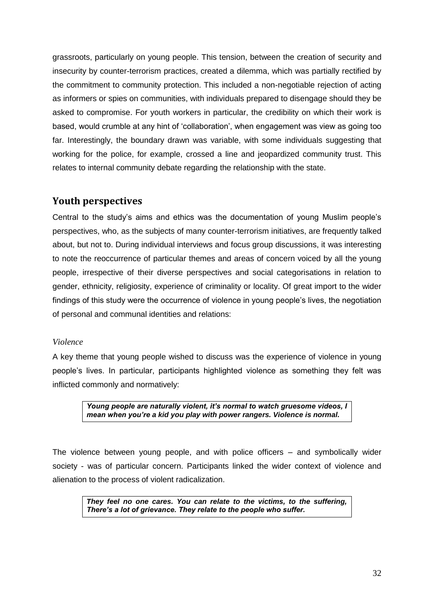grassroots, particularly on young people. This tension, between the creation of security and insecurity by counter-terrorism practices, created a dilemma, which was partially rectified by the commitment to community protection. This included a non-negotiable rejection of acting as informers or spies on communities, with individuals prepared to disengage should they be asked to compromise. For youth workers in particular, the credibility on which their work is based, would crumble at any hint of "collaboration", when engagement was view as going too far. Interestingly, the boundary drawn was variable, with some individuals suggesting that working for the police, for example, crossed a line and jeopardized community trust. This relates to internal community debate regarding the relationship with the state.

## **Youth perspectives**

Central to the study"s aims and ethics was the documentation of young Muslim people"s perspectives, who, as the subjects of many counter-terrorism initiatives, are frequently talked about, but not to. During individual interviews and focus group discussions, it was interesting to note the reoccurrence of particular themes and areas of concern voiced by all the young people, irrespective of their diverse perspectives and social categorisations in relation to gender, ethnicity, religiosity, experience of criminality or locality. Of great import to the wider findings of this study were the occurrence of violence in young people"s lives, the negotiation of personal and communal identities and relations:

## *Violence*

A key theme that young people wished to discuss was the experience of violence in young people"s lives. In particular, participants highlighted violence as something they felt was inflicted commonly and normatively:

> *Young people are naturally violent, it's normal to watch gruesome videos, I mean when you're a kid you play with power rangers. Violence is normal.*

The violence between young people, and with police officers – and symbolically wider society - was of particular concern. Participants linked the wider context of violence and alienation to the process of violent radicalization.

> *They feel no one cares. You can relate to the victims, to the suffering, There's a lot of grievance. They relate to the people who suffer.*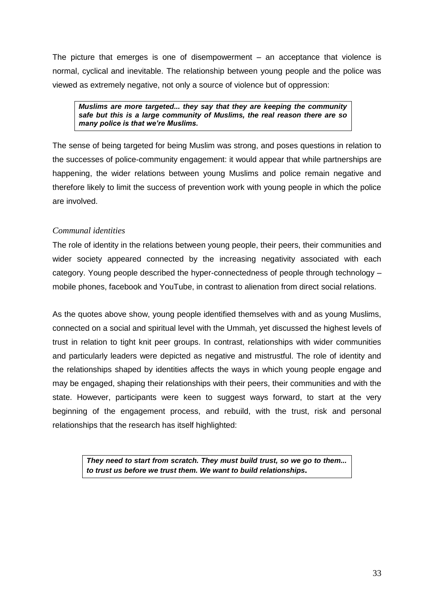The picture that emerges is one of disempowerment – an acceptance that violence is normal, cyclical and inevitable. The relationship between young people and the police was viewed as extremely negative, not only a source of violence but of oppression:

#### *Muslims are more targeted... they say that they are keeping the community safe but this is a large community of Muslims, the real reason there are so many police is that we're Muslims.*

The sense of being targeted for being Muslim was strong, and poses questions in relation to the successes of police-community engagement: it would appear that while partnerships are happening, the wider relations between young Muslims and police remain negative and therefore likely to limit the success of prevention work with young people in which the police are involved.

## *Communal identities*

The role of identity in the relations between young people, their peers, their communities and wider society appeared connected by the increasing negativity associated with each category. Young people described the hyper-connectedness of people through technology – mobile phones, facebook and YouTube, in contrast to alienation from direct social relations.

As the quotes above show, young people identified themselves with and as young Muslims, connected on a social and spiritual level with the Ummah, yet discussed the highest levels of trust in relation to tight knit peer groups. In contrast, relationships with wider communities and particularly leaders were depicted as negative and mistrustful. The role of identity and the relationships shaped by identities affects the ways in which young people engage and may be engaged, shaping their relationships with their peers, their communities and with the state. However, participants were keen to suggest ways forward, to start at the very beginning of the engagement process, and rebuild, with the trust, risk and personal relationships that the research has itself highlighted:

> *They need to start from scratch. They must build trust, so we go to them... to trust us before we trust them. We want to build relationships.*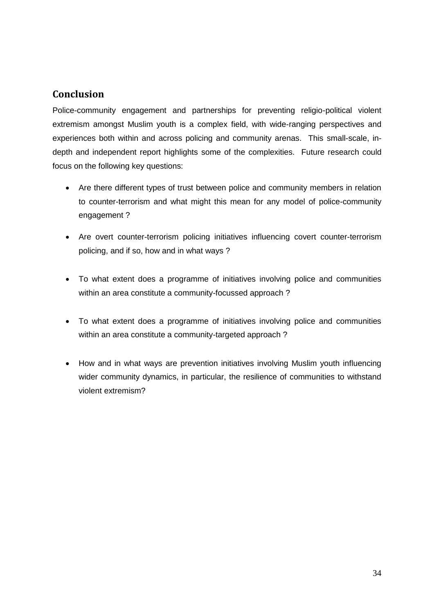## **Conclusion**

Police-community engagement and partnerships for preventing religio-political violent extremism amongst Muslim youth is a complex field, with wide-ranging perspectives and experiences both within and across policing and community arenas. This small-scale, indepth and independent report highlights some of the complexities. Future research could focus on the following key questions:

- Are there different types of trust between police and community members in relation to counter-terrorism and what might this mean for any model of police-community engagement ?
- Are overt counter-terrorism policing initiatives influencing covert counter-terrorism policing, and if so, how and in what ways ?
- To what extent does a programme of initiatives involving police and communities within an area constitute a community-focussed approach?
- To what extent does a programme of initiatives involving police and communities within an area constitute a community-targeted approach?
- How and in what ways are prevention initiatives involving Muslim youth influencing wider community dynamics, in particular, the resilience of communities to withstand violent extremism?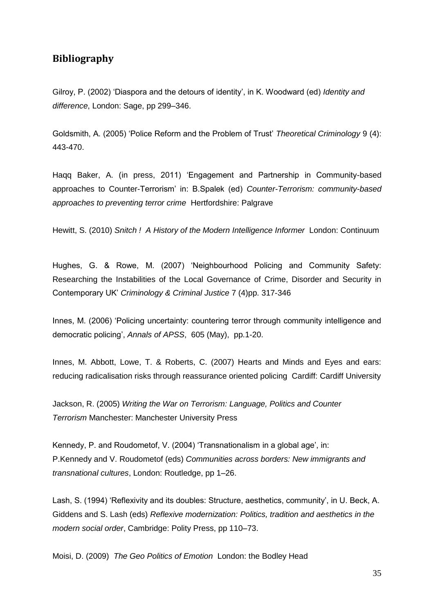## **Bibliography**

Gilroy, P. (2002) "Diaspora and the detours of identity", in K. Woodward (ed) *Identity and difference*, London: Sage, pp 299–346.

Goldsmith, A. (2005) "Police Reform and the Problem of Trust" *Theoretical Criminology* 9 (4): 443-470.

Haqq Baker, A. (in press, 2011) "Engagement and Partnership in Community-based approaches to Counter-Terrorism" in: B.Spalek (ed) *Counter-Terrorism: community-based approaches to preventing terror crime* Hertfordshire: Palgrave

Hewitt, S. (2010) *Snitch ! A History of the Modern Intelligence Informer* London: Continuum

Hughes, G. & Rowe, M. (2007) "Neighbourhood Policing and Community Safety: Researching the Instabilities of the Local Governance of Crime, Disorder and Security in Contemporary UK" *Criminology & Criminal Justice* 7 (4)pp. 317-346

Innes, M. (2006) "Policing uncertainty: countering terror through community intelligence and democratic policing", *Annals of APSS*, 605 (May), pp.1-20.

Innes, M. Abbott, Lowe, T. & Roberts, C. (2007) Hearts and Minds and Eyes and ears: reducing radicalisation risks through reassurance oriented policing Cardiff: Cardiff University

Jackson, R. (2005) *Writing the War on Terrorism: Language, Politics and Counter Terrorism* Manchester: Manchester University Press

Kennedy, P. and Roudometof, V. (2004) "Transnationalism in a global age", in: P.Kennedy and V. Roudometof (eds) *Communities across borders: New immigrants and transnational cultures*, London: Routledge, pp 1–26.

Lash, S. (1994) 'Reflexivity and its doubles: Structure, aesthetics, community', in U. Beck, A. Giddens and S. Lash (eds) *Reflexive modernization: Politics, tradition and aesthetics in the modern social order*, Cambridge: Polity Press, pp 110–73.

Moisi, D. (2009) *The Geo Politics of Emotion* London: the Bodley Head